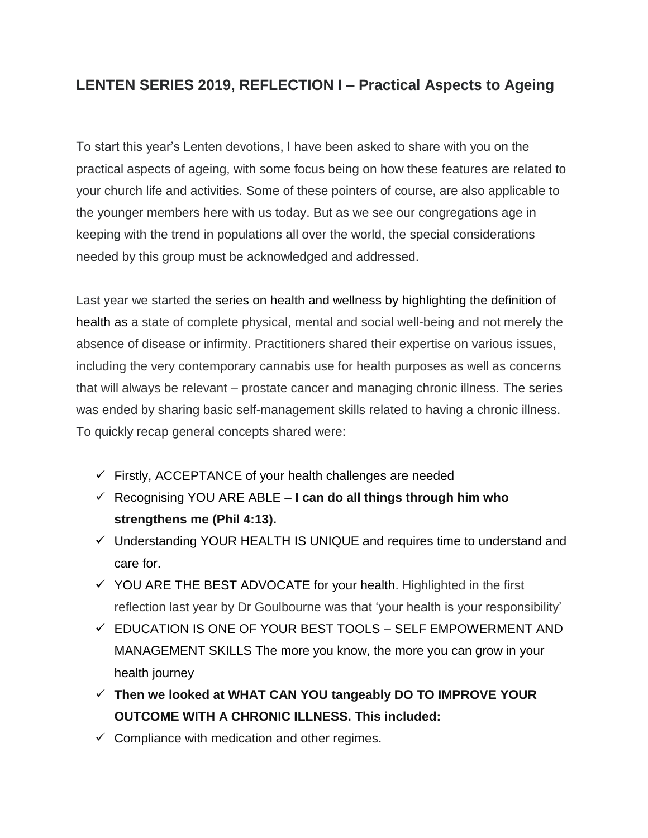## **LENTEN SERIES 2019, REFLECTION I – Practical Aspects to Ageing**

To start this year's Lenten devotions, I have been asked to share with you on the practical aspects of ageing, with some focus being on how these features are related to your church life and activities. Some of these pointers of course, are also applicable to the younger members here with us today. But as we see our congregations age in keeping with the trend in populations all over the world, the special considerations needed by this group must be acknowledged and addressed.

Last year we started the series on health and wellness by highlighting the definition of health as a state of complete physical, mental and social well-being and not merely the absence of disease or infirmity. Practitioners shared their expertise on various issues, including the very contemporary cannabis use for health purposes as well as concerns that will always be relevant – prostate cancer and managing chronic illness. The series was ended by sharing basic self-management skills related to having a chronic illness. To quickly recap general concepts shared were:

- $\checkmark$  Firstly, ACCEPTANCE of your health challenges are needed
- ✓ Recognising YOU ARE ABLE **I can do all things through him who strengthens me (Phil 4:13).**
- ✓ Understanding YOUR HEALTH IS UNIQUE and requires time to understand and care for.
- $\checkmark$  YOU ARE THE BEST ADVOCATE for your health. Highlighted in the first reflection last year by Dr Goulbourne was that 'your health is your responsibility'
- $\checkmark$  EDUCATION IS ONE OF YOUR BEST TOOLS SELF EMPOWERMENT AND MANAGEMENT SKILLS The more you know, the more you can grow in your health journey
- ✓ **Then we looked at WHAT CAN YOU tangeably DO TO IMPROVE YOUR OUTCOME WITH A CHRONIC ILLNESS. This included:**
- $\checkmark$  Compliance with medication and other regimes.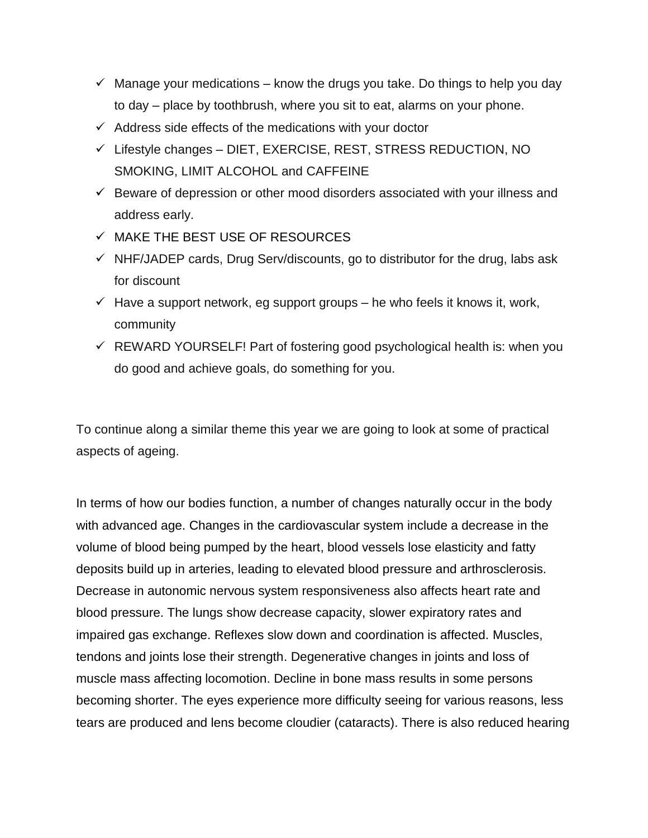- $\checkmark$  Manage your medications know the drugs you take. Do things to help you day to day – place by toothbrush, where you sit to eat, alarms on your phone.
- $\checkmark$  Address side effects of the medications with your doctor
- $\checkmark$  Lifestyle changes DIET, EXERCISE, REST, STRESS REDUCTION, NO SMOKING, LIMIT ALCOHOL and CAFFEINE
- $\checkmark$  Beware of depression or other mood disorders associated with your illness and address early.
- $\checkmark$  MAKE THE BEST USE OF RESOURCES
- ✓ NHF/JADEP cards, Drug Serv/discounts, go to distributor for the drug, labs ask for discount
- $\checkmark$  Have a support network, eg support groups he who feels it knows it, work, community
- $\checkmark$  REWARD YOURSELF! Part of fostering good psychological health is: when you do good and achieve goals, do something for you.

To continue along a similar theme this year we are going to look at some of practical aspects of ageing.

In terms of how our bodies function, a number of changes naturally occur in the body with advanced age. Changes in the cardiovascular system include a decrease in the volume of blood being pumped by the heart, blood vessels lose elasticity and fatty deposits build up in arteries, leading to elevated blood pressure and arthrosclerosis. Decrease in autonomic nervous system responsiveness also affects heart rate and blood pressure. The lungs show decrease capacity, slower expiratory rates and impaired gas exchange. Reflexes slow down and coordination is affected. Muscles, tendons and joints lose their strength. Degenerative changes in joints and loss of muscle mass affecting locomotion. Decline in bone mass results in some persons becoming shorter. The eyes experience more difficulty seeing for various reasons, less tears are produced and lens become cloudier (cataracts). There is also reduced hearing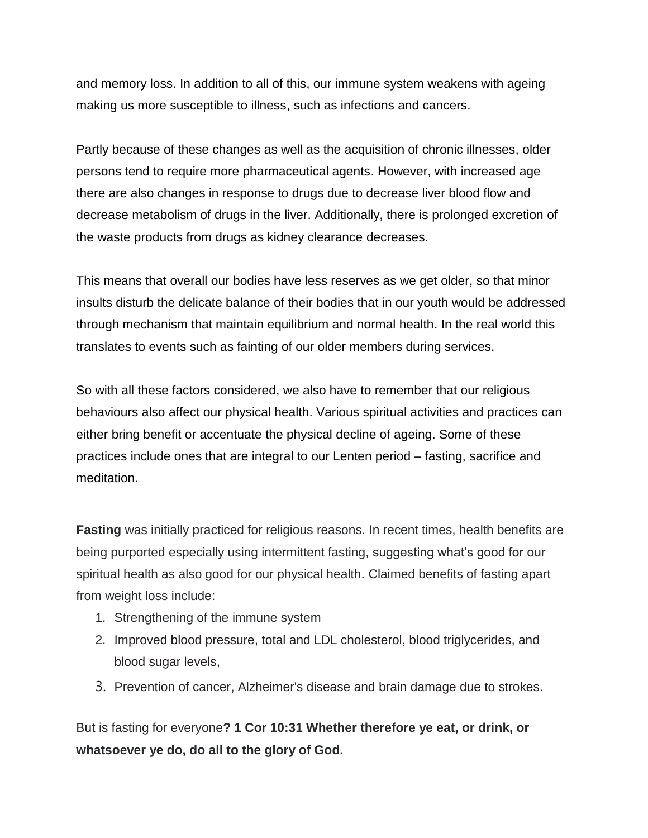and memory loss. In addition to all of this, our immune system weakens with ageing making us more susceptible to illness, such as infections and cancers.

Partly because of these changes as well as the acquisition of chronic illnesses, older persons tend to require more pharmaceutical agents. However, with increased age there are also changes in response to drugs due to decrease liver blood flow and decrease metabolism of drugs in the liver. Additionally, there is prolonged excretion of the waste products from drugs as kidney clearance decreases.

This means that overall our bodies have less reserves as we get older, so that minor insults disturb the delicate balance of their bodies that in our youth would be addressed through mechanism that maintain equilibrium and normal health. In the real world this translates to events such as fainting of our older members during services.

So with all these factors considered, we also have to remember that our religious behaviours also affect our physical health. Various spiritual activities and practices can either bring benefit or accentuate the physical decline of ageing. Some of these practices include ones that are integral to our Lenten period – fasting, sacrifice and meditation.

**Fasting** was initially practiced for religious reasons. In recent times, health benefits are being purported especially using intermittent fasting, suggesting what's good for our spiritual health as also good for our physical health. Claimed benefits of fasting apart from weight loss include:

- 1. Strengthening of the immune system
- 2. Improved blood pressure, total and LDL cholesterol, blood triglycerides, and blood sugar levels,
- 3. Prevention of cancer, Alzheimer's disease and brain damage due to strokes.

But is fasting for everyone**? 1 Cor 10:31 Whether therefore ye eat, or drink, or whatsoever ye do, do all to the glory of God.**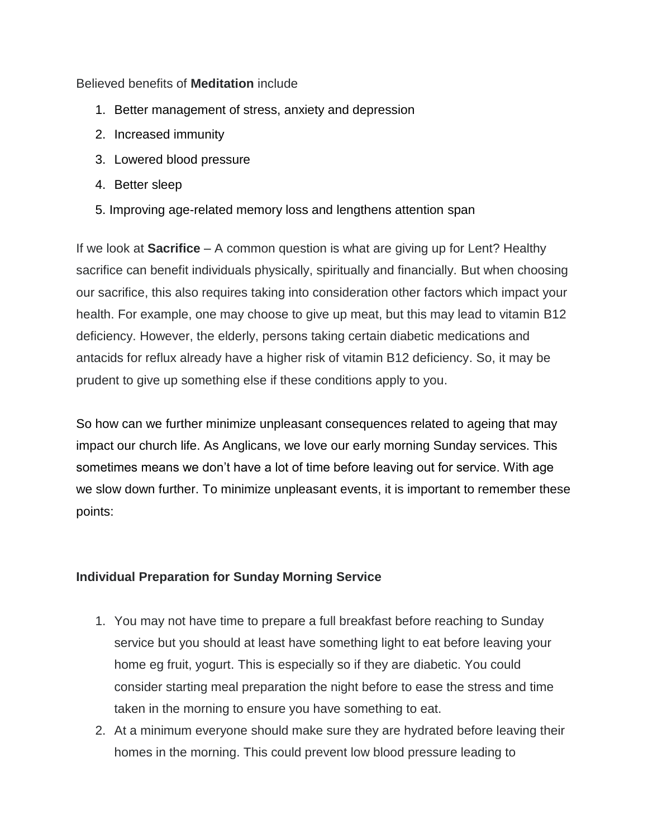Believed benefits of **Meditation** include

- 1. Better management of stress, anxiety and depression
- 2. Increased immunity
- 3. Lowered blood pressure
- 4. Better sleep
- 5. Improving age-related memory loss and lengthens attention span

If we look at **Sacrifice** – A common question is what are giving up for Lent? Healthy sacrifice can benefit individuals physically, spiritually and financially. But when choosing our sacrifice, this also requires taking into consideration other factors which impact your health. For example, one may choose to give up meat, but this may lead to vitamin B12 deficiency. However, the elderly, persons taking certain diabetic medications and antacids for reflux already have a higher risk of vitamin B12 deficiency. So, it may be prudent to give up something else if these conditions apply to you.

So how can we further minimize unpleasant consequences related to ageing that may impact our church life. As Anglicans, we love our early morning Sunday services. This sometimes means we don't have a lot of time before leaving out for service. With age we slow down further. To minimize unpleasant events, it is important to remember these points:

## **Individual Preparation for Sunday Morning Service**

- 1. You may not have time to prepare a full breakfast before reaching to Sunday service but you should at least have something light to eat before leaving your home eg fruit, yogurt. This is especially so if they are diabetic. You could consider starting meal preparation the night before to ease the stress and time taken in the morning to ensure you have something to eat.
- 2. At a minimum everyone should make sure they are hydrated before leaving their homes in the morning. This could prevent low blood pressure leading to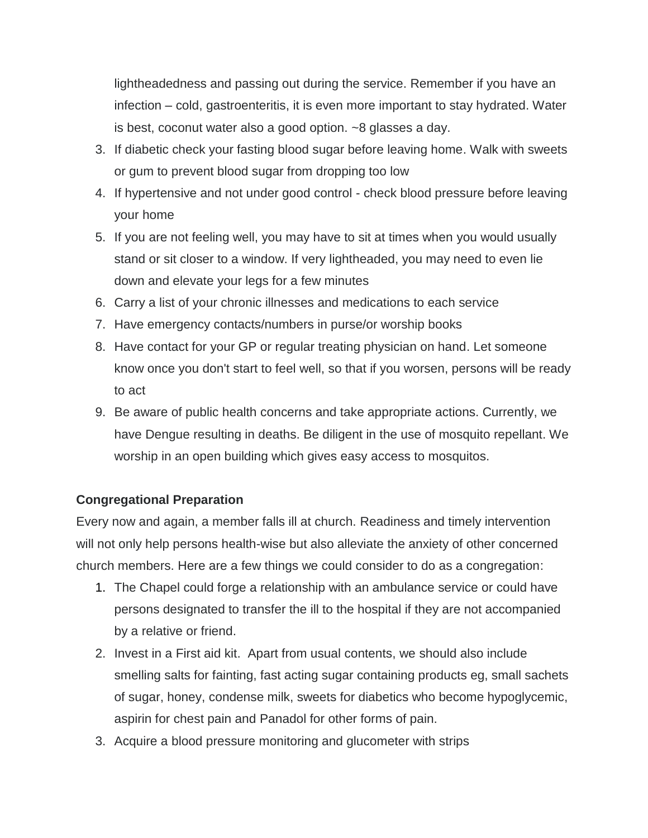lightheadedness and passing out during the service. Remember if you have an infection – cold, gastroenteritis, it is even more important to stay hydrated. Water is best, coconut water also a good option. ~8 glasses a day.

- 3. If diabetic check your fasting blood sugar before leaving home. Walk with sweets or gum to prevent blood sugar from dropping too low
- 4. If hypertensive and not under good control check blood pressure before leaving your home
- 5. If you are not feeling well, you may have to sit at times when you would usually stand or sit closer to a window. If very lightheaded, you may need to even lie down and elevate your legs for a few minutes
- 6. Carry a list of your chronic illnesses and medications to each service
- 7. Have emergency contacts/numbers in purse/or worship books
- 8. Have contact for your GP or regular treating physician on hand. Let someone know once you don't start to feel well, so that if you worsen, persons will be ready to act
- 9. Be aware of public health concerns and take appropriate actions. Currently, we have Dengue resulting in deaths. Be diligent in the use of mosquito repellant. We worship in an open building which gives easy access to mosquitos.

## **Congregational Preparation**

Every now and again, a member falls ill at church. Readiness and timely intervention will not only help persons health-wise but also alleviate the anxiety of other concerned church members. Here are a few things we could consider to do as a congregation:

- 1. The Chapel could forge a relationship with an ambulance service or could have persons designated to transfer the ill to the hospital if they are not accompanied by a relative or friend.
- 2. Invest in a First aid kit. Apart from usual contents, we should also include smelling salts for fainting, fast acting sugar containing products eg, small sachets of sugar, honey, condense milk, sweets for diabetics who become hypoglycemic, aspirin for chest pain and Panadol for other forms of pain.
- 3. Acquire a blood pressure monitoring and glucometer with strips